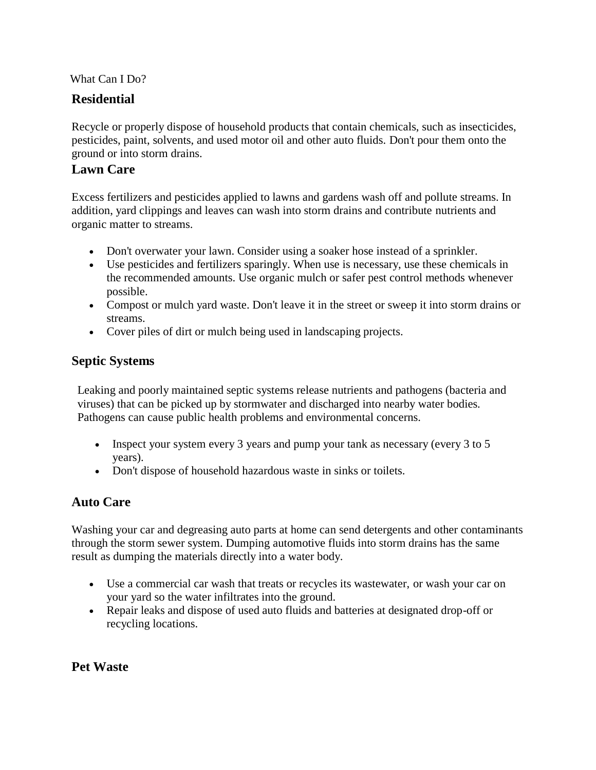#### What Can I Do?

## **Residential**

Recycle or properly dispose of household products that contain chemicals, such as insecticides, pesticides, paint, solvents, and used motor oil and other auto fluids. Don't pour them onto the ground or into storm drains.

#### **Lawn Care**

Excess fertilizers and pesticides applied to lawns and gardens wash off and pollute streams. In addition, yard clippings and leaves can wash into storm drains and contribute nutrients and organic matter to streams.

- Don't overwater your lawn. Consider using a soaker hose instead of a sprinkler.
- Use pesticides and fertilizers sparingly. When use is necessary, use these chemicals in the recommended amounts. Use organic mulch or safer pest control methods whenever possible.
- Compost or mulch yard waste. Don't leave it in the street or sweep it into storm drains or streams.
- Cover piles of dirt or mulch being used in landscaping projects.

### **Septic Systems**

Leaking and poorly maintained septic systems release nutrients and pathogens (bacteria and viruses) that can be picked up by stormwater and discharged into nearby water bodies. Pathogens can cause public health problems and environmental concerns.

- Inspect your system every 3 years and pump your tank as necessary (every 3 to 5 years).
- Don't dispose of household hazardous waste in sinks or toilets.

## **Auto Care**

Washing your car and degreasing auto parts at home can send detergents and other contaminants through the storm sewer system. Dumping automotive fluids into storm drains has the same result as dumping the materials directly into a water body.

- Use a commercial car wash that treats or recycles its wastewater, or wash your car on your yard so the water infiltrates into the ground.
- Repair leaks and dispose of used auto fluids and batteries at designated drop-off or recycling locations.

## **Pet Waste**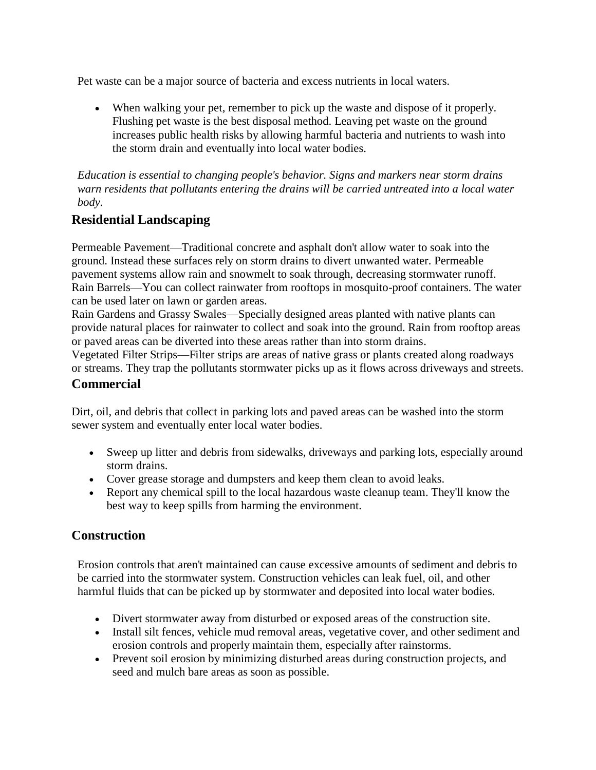Pet waste can be a major source of bacteria and excess nutrients in local waters.

 When walking your pet, remember to pick up the waste and dispose of it properly. Flushing pet waste is the best disposal method. Leaving pet waste on the ground increases public health risks by allowing harmful bacteria and nutrients to wash into the storm drain and eventually into local water bodies.

*Education is essential to changing people's behavior. Signs and markers near storm drains warn residents that pollutants entering the drains will be carried untreated into a local water body.*

## **Residential Landscaping**

Permeable Pavement—Traditional concrete and asphalt don't allow water to soak into the ground. Instead these surfaces rely on storm drains to divert unwanted water. Permeable pavement systems allow rain and snowmelt to soak through, decreasing stormwater runoff. Rain Barrels—You can collect rainwater from rooftops in mosquito-proof containers. The water can be used later on lawn or garden areas.

Rain Gardens and Grassy Swales—Specially designed areas planted with native plants can provide natural places for rainwater to collect and soak into the ground. Rain from rooftop areas or paved areas can be diverted into these areas rather than into storm drains.

Vegetated Filter Strips—Filter strips are areas of native grass or plants created along roadways or streams. They trap the pollutants stormwater picks up as it flows across driveways and streets.

#### **Commercial**

Dirt, oil, and debris that collect in parking lots and paved areas can be washed into the storm sewer system and eventually enter local water bodies.

- Sweep up litter and debris from sidewalks, driveways and parking lots, especially around storm drains.
- Cover grease storage and dumpsters and keep them clean to avoid leaks.
- Report any chemical spill to the local hazardous waste cleanup team. They'll know the best way to keep spills from harming the environment.

#### **Construction**

Erosion controls that aren't maintained can cause excessive amounts of sediment and debris to be carried into the stormwater system. Construction vehicles can leak fuel, oil, and other harmful fluids that can be picked up by stormwater and deposited into local water bodies.

- Divert stormwater away from disturbed or exposed areas of the construction site.
- Install silt fences, vehicle mud removal areas, vegetative cover, and other sediment and erosion controls and properly maintain them, especially after rainstorms.
- Prevent soil erosion by minimizing disturbed areas during construction projects, and seed and mulch bare areas as soon as possible.